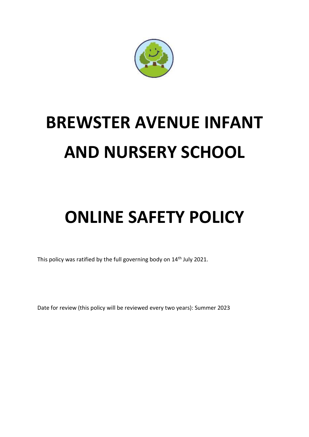

# **BREWSTER AVENUE INFANT AND NURSERY SCHOOL**

## **ONLINE SAFETY POLICY**

This policy was ratified by the full governing body on 14<sup>th</sup> July 2021.

Date for review (this policy will be reviewed every two years): Summer 2023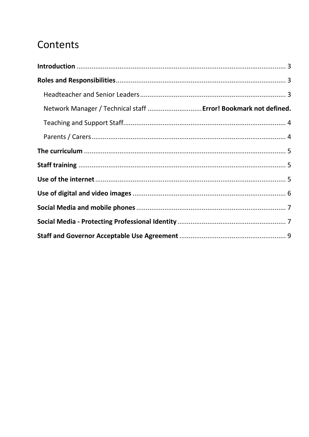### Contents

| Network Manager / Technical staff  Error! Bookmark not defined. |  |
|-----------------------------------------------------------------|--|
|                                                                 |  |
|                                                                 |  |
|                                                                 |  |
|                                                                 |  |
|                                                                 |  |
|                                                                 |  |
|                                                                 |  |
|                                                                 |  |
|                                                                 |  |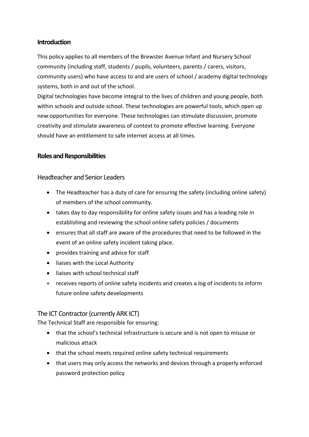#### <span id="page-2-0"></span>**Introduction**

This policy applies to all members of the Brewster Avenue Infant and Nursery School community (including staff, students / pupils, volunteers, parents / carers, visitors, community users) who have access to and are users of school / academy digital technology systems, both in and out of the school.

Digital technologies have become integral to the lives of children and young people, both within schools and outside school. These technologies are powerful tools, which open up new opportunities for everyone. These technologies can stimulate discussion, promote creativity and stimulate awareness of context to promote effective learning. Everyone should have an entitlement to safe internet access at all times.

#### <span id="page-2-1"></span>**Roles and Responsibilities**

#### <span id="page-2-2"></span>Headteacher and Senior Leaders

- The Headteacher has a duty of care for ensuring the safety (including online safety) of members of the school community.
- takes day to day responsibility for online safety issues and has a leading role in establishing and reviewing the school online safety policies / documents
- ensures that all staff are aware of the procedures that need to be followed in the event of an online safety incident taking place.
- provides training and advice for staff
- liaises with the Local Authority
- liaises with school technical staff
- receives reports of online safety incidents and creates a log of incidents to inform future online safety developments

#### The ICT Contractor (currently ARK ICT)

The Technical Staff are responsible for ensuring:

- that the school's technical infrastructure is secure and is not open to misuse or malicious attack
- that the school meets required online safety technical requirements
- that users may only access the networks and devices through a properly enforced password protection policy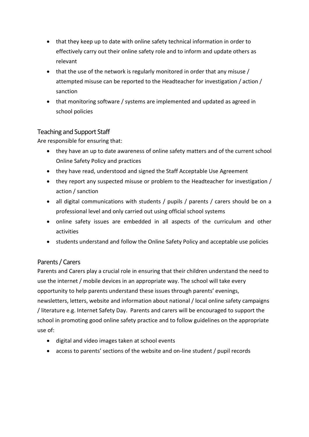- that they keep up to date with online safety technical information in order to effectively carry out their online safety role and to inform and update others as relevant
- that the use of the network is regularly monitored in order that any misuse / attempted misuse can be reported to the Headteacher for investigation / action / sanction
- that monitoring software / systems are implemented and updated as agreed in school policies

#### <span id="page-3-0"></span>Teaching and Support Staff

Are responsible for ensuring that:

- they have an up to date awareness of online safety matters and of the current school Online Safety Policy and practices
- they have read, understood and signed the Staff Acceptable Use Agreement
- they report any suspected misuse or problem to the Headteacher for investigation / action / sanction
- all digital communications with students / pupils / parents / carers should be on a professional level and only carried out using official school systems
- online safety issues are embedded in all aspects of the curriculum and other activities
- students understand and follow the Online Safety Policy and acceptable use policies

#### <span id="page-3-1"></span>Parents / Carers

Parents and Carers play a crucial role in ensuring that their children understand the need to use the internet / mobile devices in an appropriate way. The school will take every opportunity to help parents understand these issues through parents' evenings, newsletters, letters, website and information about national / local online safety campaigns / literature e.g. Internet Safety Day. Parents and carers will be encouraged to support the school in promoting good online safety practice and to follow guidelines on the appropriate use of:

- digital and video images taken at school events
- access to parents' sections of the website and on-line student / pupil records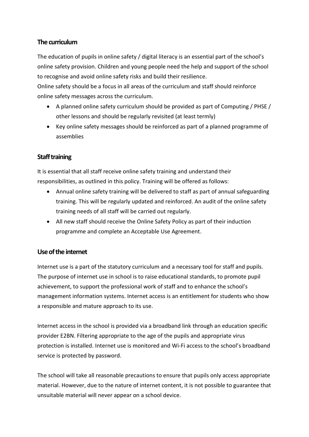#### <span id="page-4-0"></span>**The curriculum**

The education of pupils in online safety / digital literacy is an essential part of the school's online safety provision. Children and young people need the help and support of the school to recognise and avoid online safety risks and build their resilience.

Online safety should be a focus in all areas of the curriculum and staff should reinforce online safety messages across the curriculum.

- A planned online safety curriculum should be provided as part of Computing / PHSE / other lessons and should be regularly revisited (at least termly)
- Key online safety messages should be reinforced as part of a planned programme of assemblies

#### <span id="page-4-1"></span>**Staff training**

It is essential that all staff receive online safety training and understand their responsibilities, as outlined in this policy. Training will be offered as follows:

- Annual online safety training will be delivered to staff as part of annual safeguarding training. This will be regularly updated and reinforced. An audit of the online safety training needs of all staff will be carried out regularly.
- All new staff should receive the Online Safety Policy as part of their induction programme and complete an Acceptable Use Agreement.

#### <span id="page-4-2"></span>**Use of the internet**

Internet use is a part of the statutory curriculum and a necessary tool for staff and pupils. The purpose of internet use in school is to raise educational standards, to promote pupil achievement, to support the professional work of staff and to enhance the school's management information systems. Internet access is an entitlement for students who show a responsible and mature approach to its use.

Internet access in the school is provided via a broadband link through an education specific provider E2BN. Filtering appropriate to the age of the pupils and appropriate virus protection is installed. Internet use is monitored and Wi-Fi access to the school's broadband service is protected by password.

The school will take all reasonable precautions to ensure that pupils only access appropriate material. However, due to the nature of internet content, it is not possible to guarantee that unsuitable material will never appear on a school device.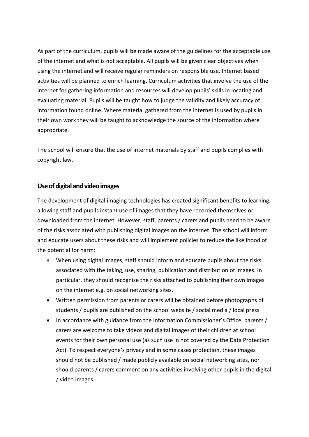As part of the curriculum, pupils will be made aware of the guidelines for the acceptable use of the internet and what is not acceptable. All pupils will be given clear objectives when using the internet and will receive regular reminders on responsible use. Internet based activities will be planned to enrich learning. Curriculum activities that involve the use of the internet for gathering information and resources will develop pupils' skills in locating and evaluating material. Pupils will be taught how to judge the validity and likely accuracy of information found online. Where material gathered from the internet is used by pupils in their own work they will be taught to acknowledge the source of the information where appropriate.

The school will ensure that the use of internet materials by staff and pupils complies with copyright law.

#### <span id="page-5-0"></span>**Use of digital and video images**

The development of digital imaging technologies has created significant benefits to learning, allowing staff and pupils instant use of images that they have recorded themselves or downloaded from the internet. However, staff, parents / carers and pupils need to be aware of the risks associated with publishing digital images on the internet. The school will inform and educate users about these risks and will implement policies to reduce the likelihood of the potential for harm:

- When using digital images, staff should inform and educate pupils about the risks associated with the taking, use, sharing, publication and distribution of images. In particular, they should recognise the risks attached to publishing their own images on the internet e.g. on social networking sites.
- Written permission from parents or carers will be obtained before photographs of students / pupils are published on the school website / social media / local press
- In accordance with guidance from the Information Commissioner's Office, parents / carers are welcome to take videos and digital images of their children at school events for their own personal use (as such use in not covered by the Data Protection Act). To respect everyone's privacy and in some cases protection, these images should not be published / made publicly available on social networking sites, nor should parents / carers comment on any activities involving other pupils in the digital / video images.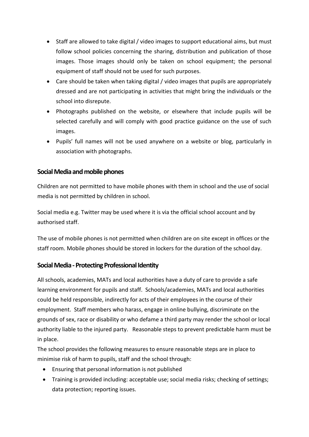- Staff are allowed to take digital / video images to support educational aims, but must follow school policies concerning the sharing, distribution and publication of those images. Those images should only be taken on school equipment; the personal equipment of staff should not be used for such purposes.
- Care should be taken when taking digital / video images that pupils are appropriately dressed and are not participating in activities that might bring the individuals or the school into disrepute.
- Photographs published on the website, or elsewhere that include pupils will be selected carefully and will comply with good practice guidance on the use of such images.
- Pupils' full names will not be used anywhere on a website or blog, particularly in association with photographs.

#### <span id="page-6-0"></span>**Social Media and mobile phones**

Children are not permitted to have mobile phones with them in school and the use of social media is not permitted by children in school.

Social media e.g. Twitter may be used where it is via the official school account and by authorised staff.

The use of mobile phones is not permitted when children are on site except in offices or the staff room. Mobile phones should be stored in lockers for the duration of the school day.

#### <span id="page-6-1"></span>**Social Media -Protecting Professional Identity**

All schools, academies, MATs and local authorities have a duty of care to provide a safe learning environment for pupils and staff. Schools/academies, MATs and local authorities could be held responsible, indirectly for acts of their employees in the course of their employment. Staff members who harass, engage in online bullying, discriminate on the grounds of sex, race or disability or who defame a third party may render the school or local authority liable to the injured party. Reasonable steps to prevent predictable harm must be in place.

The school provides the following measures to ensure reasonable steps are in place to minimise risk of harm to pupils, staff and the school through:

- Ensuring that personal information is not published
- Training is provided including: acceptable use; social media risks; checking of settings; data protection; reporting issues.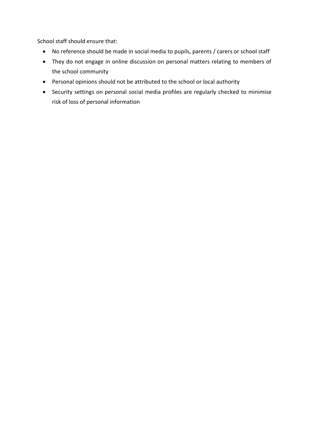School staff should ensure that:

- No reference should be made in social media to pupils, parents / carers or school staff
- They do not engage in online discussion on personal matters relating to members of the school community
- Personal opinions should not be attributed to the school or local authority
- Security settings on personal social media profiles are regularly checked to minimise risk of loss of personal information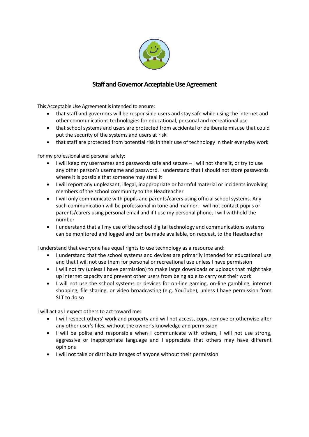

#### **Staff and Governor Acceptable Use Agreement**

<span id="page-8-0"></span>This Acceptable Use Agreement is intended to ensure:

- that staff and governors will be responsible users and stay safe while using the internet and other communications technologies for educational, personal and recreational use
- that school systems and users are protected from accidental or deliberate misuse that could put the security of the systems and users at risk
- that staff are protected from potential risk in their use of technology in their everyday work

For my professional and personal safety:

- I will keep my usernames and passwords safe and secure I will not share it, or try to use any other person's username and password. I understand that I should not store passwords where it is possible that someone may steal it
- I will report any unpleasant, illegal, inappropriate or harmful material or incidents involving members of the school community to the Headteacher
- I will only communicate with pupils and parents/carers using official school systems. Any such communication will be professional in tone and manner. I will not contact pupils or parents/carers using personal email and if I use my personal phone, I will withhold the number
- I understand that all my use of the school digital technology and communications systems can be monitored and logged and can be made available, on request, to the Headteacher

I understand that everyone has equal rights to use technology as a resource and:

- I understand that the school systems and devices are primarily intended for educational use and that I will not use them for personal or recreational use unless I have permission
- I will not try (unless I have permission) to make large downloads or uploads that might take up internet capacity and prevent other users from being able to carry out their work
- I will not use the school systems or devices for on-line gaming, on-line gambling, internet shopping, file sharing, or video broadcasting (e.g. YouTube), unless I have permission from SLT to do so

I will act as I expect others to act toward me:

- I will respect others' work and property and will not access, copy, remove or otherwise alter any other user's files, without the owner's knowledge and permission
- I will be polite and responsible when I communicate with others, I will not use strong, aggressive or inappropriate language and I appreciate that others may have different opinions
- I will not take or distribute images of anyone without their permission